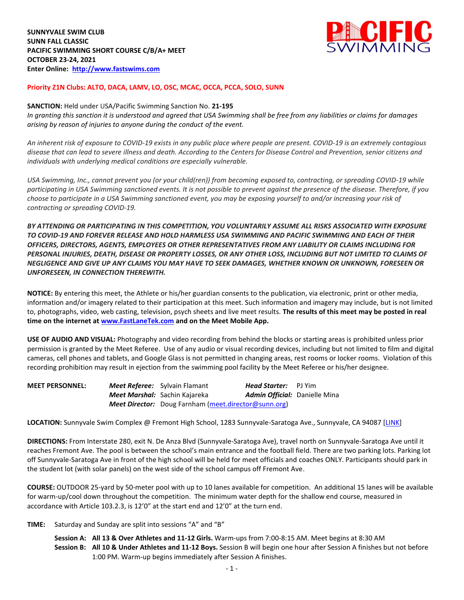

## **Priority Z1N Clubs: ALTO, DACA, LAMV, LO, OSC, MCAC, OCCA, PCCA, SOLO, SUNN**

## **SANCTION:** Held under USA/Pacific Swimming Sanction No. **21-195**

*In granting this sanction it is understood and agreed that USA Swimming shall be free from any liabilities or claims for damages arising by reason of injuries to anyone during the conduct of the event.* 

*An inherent risk of exposure to COVID-19 exists in any public place where people are present. COVID-19 is an extremely contagious disease that can lead to severe illness and death. According to the Centers for Disease Control and Prevention, senior citizens and individuals with underlying medical conditions are especially vulnerable.*

*USA Swimming, Inc., cannot prevent you (or your child(ren)) from becoming exposed to, contracting, or spreading COVID-19 while participating in USA Swimming sanctioned events. It is not possible to prevent against the presence of the disease. Therefore, if you choose to participate in a USA Swimming sanctioned event, you may be exposing yourself to and/or increasing your risk of contracting or spreading COVID-19.*

*BY ATTENDING OR PARTICIPATING IN THIS COMPETITION, YOU VOLUNTARILY ASSUME ALL RISKS ASSOCIATED WITH EXPOSURE TO COVID-19 AND FOREVER RELEASE AND HOLD HARMLESS USA SWIMMING AND PACIFIC SWIMMING AND EACH OF THEIR OFFICERS, DIRECTORS, AGENTS, EMPLOYEES OR OTHER REPRESENTATIVES FROM ANY LIABILITY OR CLAIMS INCLUDING FOR PERSONAL INJURIES, DEATH, DISEASE OR PROPERTY LOSSES, OR ANY OTHER LOSS, INCLUDING BUT NOT LIMITED TO CLAIMS OF NEGLIGENCE AND GIVE UP ANY CLAIMS YOU MAY HAVE TO SEEK DAMAGES, WHETHER KNOWN OR UNKNOWN, FORESEEN OR UNFORESEEN, IN CONNECTION THEREWITH.*

**NOTICE:** By entering this meet, the Athlete or his/her guardian consents to the publication, via electronic, print or other media, information and/or imagery related to their participation at this meet. Such information and imagery may include, but is not limited to, photographs, video, web casting, television, psych sheets and live meet results. **The results of this meet may be posted in real time on the internet a[t www.FastLaneTek.com](http://www.fastlanetek.com/) and on the Meet Mobile App.**

**USE OF AUDIO AND VISUAL:** Photography and video recording from behind the blocks or starting areas is prohibited unless prior permission is granted by the Meet Referee. Use of any audio or visual recording devices, including but not limited to film and digital cameras, cell phones and tablets, and Google Glass is not permitted in changing areas, rest rooms or locker rooms. Violation of this recording prohibition may result in ejection from the swimming pool facility by the Meet Referee or his/her designee.

| <b>MEET PERSONNEL:</b> | <b>Meet Referee:</b> Sylvain Flamant                        | <b>Head Starter:</b> PJ Yim          |  |
|------------------------|-------------------------------------------------------------|--------------------------------------|--|
|                        | <b>Meet Marshal:</b> Sachin Kajareka                        | <b>Admin Official:</b> Danielle Mina |  |
|                        | <b>Meet Director:</b> Doug Farnham (meet.director@sunn.org) |                                      |  |

**LOCATION:** Sunnyvale Swim Complex @ Fremont High School, 1283 Sunnyvale-Saratoga Ave., Sunnyvale, CA 94087 [\[LINK\]](https://goo.gl/maps/YHiBA8jdjdBNDu4p6)

**DIRECTIONS:** From Interstate 280, exit N. De Anza Blvd (Sunnyvale-Saratoga Ave), travel north on Sunnyvale-Saratoga Ave until it reaches Fremont Ave. The pool is between the school's main entrance and the football field. There are two parking lots. Parking lot off Sunnyvale-Saratoga Ave in front of the high school will be held for meet officials and coaches ONLY. Participants should park in the student lot (with solar panels) on the west side of the school campus off Fremont Ave.

**COURSE:** OUTDOOR 25-yard by 50-meter pool with up to 10 lanes available for competition.An additional 15 lanes will be available for warm-up/cool down throughout the competition. The minimum water depth for the shallow end course, measured in accordance with Article 103.2.3, is 12'0" at the start end and 12'0" at the turn end.

**TIME:** Saturday and Sunday are split into sessions "A" and "B"

**Session A: All 13 & Over Athletes and 11-12 Girls.** Warm-ups from 7:00-8:15 AM. Meet begins at 8:30 AM **Session B: All 10 & Under Athletes and 11-12 Boys.** Session B will begin one hour after Session A finishes but not before 1:00 PM. Warm-up begins immediately after Session A finishes.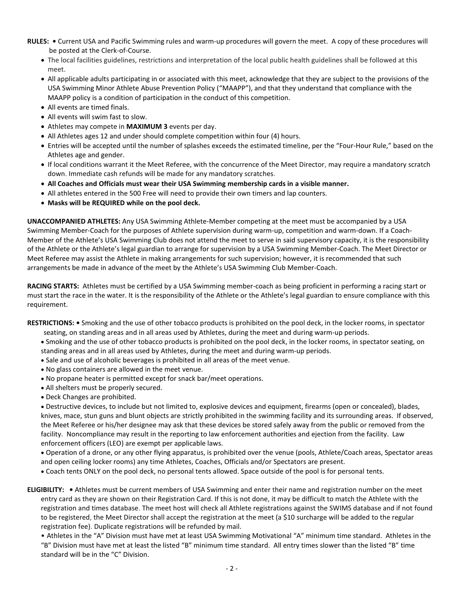- **RULES: •** Current USA and Pacific Swimming rules and warm-up procedures will govern the meet. A copy of these procedures will be posted at the Clerk-of-Course.
	- The local facilities guidelines, restrictions and interpretation of the local public health guidelines shall be followed at this meet.
	- All applicable adults participating in or associated with this meet, acknowledge that they are subject to the provisions of the USA Swimming Minor Athlete Abuse Prevention Policy ("MAAPP"), and that they understand that compliance with the MAAPP policy is a condition of participation in the conduct of this competition.
	- All events are timed finals.
	- All events will swim fast to slow.
	- Athletes may compete in **MAXIMUM 3** events per day.
	- All Athletes ages 12 and under should complete competition within four (4) hours.
	- Entries will be accepted until the number of splashes exceeds the estimated timeline, per the "Four-Hour Rule," based on the Athletes age and gender.
	- If local conditions warrant it the Meet Referee, with the concurrence of the Meet Director, may require a mandatory scratch down. Immediate cash refunds will be made for any mandatory scratches.
	- **All Coaches and Officials must wear their USA Swimming membership cards in a visible manner.**
	- All athletes entered in the 500 Free will need to provide their own timers and lap counters.
	- **Masks will be REQUIRED while on the pool deck.**

**UNACCOMPANIED ATHLETES:** Any USA Swimming Athlete-Member competing at the meet must be accompanied by a USA Swimming Member-Coach for the purposes of Athlete supervision during warm-up, competition and warm-down. If a Coach-Member of the Athlete's USA Swimming Club does not attend the meet to serve in said supervisory capacity, it is the responsibility of the Athlete or the Athlete's legal guardian to arrange for supervision by a USA Swimming Member-Coach. The Meet Director or Meet Referee may assist the Athlete in making arrangements for such supervision; however, it is recommended that such arrangements be made in advance of the meet by the Athlete's USA Swimming Club Member-Coach.

**RACING STARTS:** Athletes must be certified by a USA Swimming member-coach as being proficient in performing a racing start or must start the race in the water. It is the responsibility of the Athlete or the Athlete's legal guardian to ensure compliance with this requirement.

**RESTRICTIONS: •** Smoking and the use of other tobacco products is prohibited on the pool deck, in the locker rooms, in spectator

- seating, on standing areas and in all areas used by Athletes, during the meet and during warm-up periods.
- Smoking and the use of other tobacco products is prohibited on the pool deck, in the locker rooms, in spectator seating, on standing areas and in all areas used by Athletes, during the meet and during warm-up periods.
- Sale and use of alcoholic beverages is prohibited in all areas of the meet venue.
- No glass containers are allowed in the meet venue.
- No propane heater is permitted except for snack bar/meet operations.
- All shelters must be properly secured.
- Deck Changes are prohibited.

 Destructive devices, to include but not limited to, explosive devices and equipment, firearms (open or concealed), blades, knives, mace, stun guns and blunt objects are strictly prohibited in the swimming facility and its surrounding areas. If observed, the Meet Referee or his/her designee may ask that these devices be stored safely away from the public or removed from the facility. Noncompliance may result in the reporting to law enforcement authorities and ejection from the facility. Law enforcement officers (LEO) are exempt per applicable laws.

 Operation of a drone, or any other flying apparatus, is prohibited over the venue (pools, Athlete/Coach areas, Spectator areas and open ceiling locker rooms) any time Athletes, Coaches, Officials and/or Spectators are present.

- Coach tents ONLY on the pool deck, no personal tents allowed. Space outside of the pool is for personal tents.
- **ELIGIBILITY: •** Athletes must be current members of USA Swimming and enter their name and registration number on the meet entry card as they are shown on their Registration Card. If this is not done, it may be difficult to match the Athlete with the registration and times database. The meet host will check all Athlete registrations against the SWIMS database and if not found to be registered, the Meet Director shall accept the registration at the meet (a \$10 surcharge will be added to the regular registration fee). Duplicate registrations will be refunded by mail.

• Athletes in the "A" Division must have met at least USA Swimming Motivational "A" minimum time standard. Athletes in the "B" Division must have met at least the listed "B" minimum time standard. All entry times slower than the listed "B" time standard will be in the "C" Division.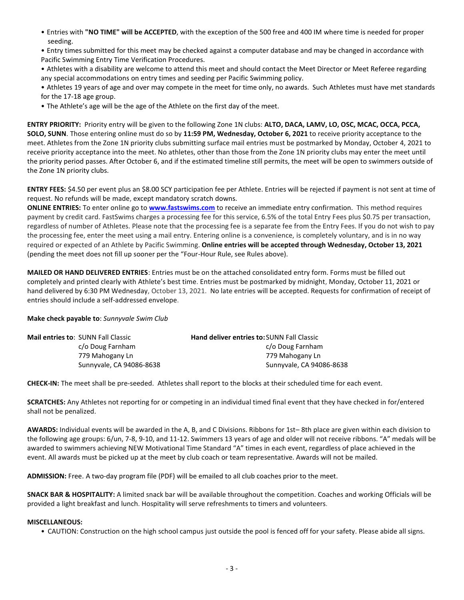• Entries with **"NO TIME" will be ACCEPTED**, with the exception of the 500 free and 400 IM where time is needed for proper seeding.

• Entry times submitted for this meet may be checked against a computer database and may be changed in accordance with Pacific Swimming Entry Time Verification Procedures.

• Athletes with a disability are welcome to attend this meet and should contact the Meet Director or Meet Referee regarding any special accommodations on entry times and seeding per Pacific Swimming policy.

• Athletes 19 years of age and over may compete in the meet for time only, no awards. Such Athletes must have met standards for the 17-18 age group.

• The Athlete's age will be the age of the Athlete on the first day of the meet.

**ENTRY PRIORITY:** Priority entry will be given to the following Zone 1N clubs: **ALTO, DACA, LAMV, LO, OSC, MCAC, OCCA, PCCA, SOLO, SUNN**. Those entering online must do so by **11:59 PM, Wednesday, October 6, 2021** to receive priority acceptance to the meet. Athletes from the Zone 1N priority clubs submitting surface mail entries must be postmarked by Monday, October 4, 2021 to receive priority acceptance into the meet. No athletes, other than those from the Zone 1N priority clubs may enter the meet until the priority period passes. After October 6, and if the estimated timeline still permits, the meet will be open to swimmers outside of the Zone 1N priority clubs.

**ENTRY FEES:** \$4.50 per event plus an \$8.00 SCY participation fee per Athlete. Entries will be rejected if payment is not sent at time of request. No refunds will be made, except mandatory scratch downs.

**ONLINE ENTRIES:** To enter online go to **[www.fastswims.com](http://www.fastswims.com/)** to receive an immediate entry confirmation. This method requires payment by credit card. FastSwims charges a processing fee for this service, 6.5% of the total Entry Fees plus \$0.75 per transaction, regardless of number of Athletes. Please note that the processing fee is a separate fee from the Entry Fees. If you do not wish to pay the processing fee, enter the meet using a mail entry. Entering online is a convenience, is completely voluntary, and is in no way required or expected of an Athlete by Pacific Swimming. **Online entries will be accepted through Wednesday, October 13, 2021** (pending the meet does not fill up sooner per the "Four-Hour Rule, see Rules above).

**MAILED OR HAND DELIVERED ENTRIES**: Entries must be on the attached consolidated entry form. Forms must be filled out completely and printed clearly with Athlete's best time. Entries must be postmarked by midnight, Monday, October 11, 2021 or hand delivered by 6:30 PM Wednesday, October 13, 2021. No late entries will be accepted. Requests for confirmation of receipt of entries should include a self-addressed envelope.

**Make check payable to**: *Sunnyvale Swim Club*

| <b>Hand deliver entries to: SUNN Fall Classic</b> |
|---------------------------------------------------|
| c/o Doug Farnham                                  |
| 779 Mahogany Ln                                   |
| Sunnyvale, CA 94086-8638                          |
|                                                   |

**CHECK-IN:** The meet shall be pre-seeded. Athletes shall report to the blocks at their scheduled time for each event.

**SCRATCHES:** Any Athletes not reporting for or competing in an individual timed final event that they have checked in for/entered shall not be penalized.

**AWARDS:** Individual events will be awarded in the A, B, and C Divisions. Ribbons for 1st– 8th place are given within each division to the following age groups: 6/un, 7-8, 9-10, and 11-12. Swimmers 13 years of age and older will not receive ribbons. "A" medals will be awarded to swimmers achieving NEW Motivational Time Standard "A" times in each event, regardless of place achieved in the event. All awards must be picked up at the meet by club coach or team representative. Awards will not be mailed.

**ADMISSION:** Free. A two-day program file (PDF) will be emailed to all club coaches prior to the meet.

**SNACK BAR & HOSPITALITY:** A limited snack bar will be available throughout the competition. Coaches and working Officials will be provided a light breakfast and lunch. Hospitality will serve refreshments to timers and volunteers.

## **MISCELLANEOUS:**

• CAUTION: Construction on the high school campus just outside the pool is fenced off for your safety. Please abide all signs.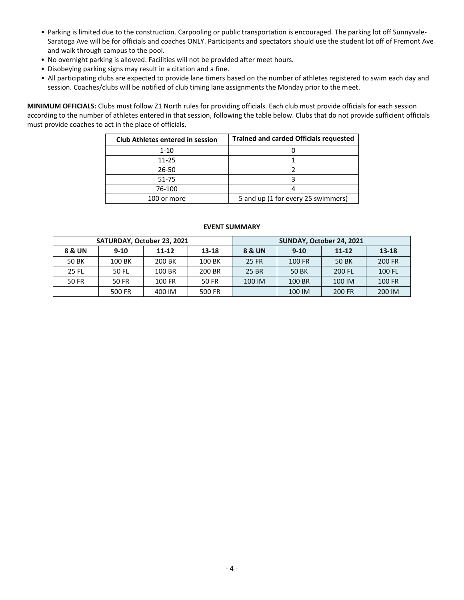- Parking is limited due to the construction. Carpooling or public transportation is encouraged. The parking lot off Sunnyvale-Saratoga Ave will be for officials and coaches ONLY. Participants and spectators should use the student lot off of Fremont Ave and walk through campus to the pool.
- No overnight parking is allowed. Facilities will not be provided after meet hours.
- Disobeying parking signs may result in a citation and a fine.
- All participating clubs are expected to provide lane timers based on the number of athletes registered to swim each day and session. Coaches/clubs will be notified of club timing lane assignments the Monday prior to the meet.

**MINIMUM OFFICIALS:** Clubs must follow Z1 North rules for providing officials. Each club must provide officials for each session according to the number of athletes entered in that session, following the table below. Clubs that do not provide sufficient officials must provide coaches to act in the place of officials.

| <b>Club Athletes entered in session</b> | <b>Trained and carded Officials requested</b> |
|-----------------------------------------|-----------------------------------------------|
| $1 - 10$                                |                                               |
| 11-25                                   |                                               |
| 26-50                                   |                                               |
| 51-75                                   |                                               |
| 76-100                                  |                                               |
| 100 or more                             | 5 and up (1 for every 25 swimmers)            |

|        | SATURDAY, October 23, 2021 |                    |        | SUNDAY, October 24, 2021 |          |           |           |  |  |
|--------|----------------------------|--------------------|--------|--------------------------|----------|-----------|-----------|--|--|
| 8 & UN | $9 - 10$                   | $11 - 12$<br>13-18 |        |                          | $9 - 10$ | $11 - 12$ | $13 - 18$ |  |  |
| 50 BK  | 100 BK                     | 200 BK             | 100 BK | 25 FR                    | 100 FR   | 50 BK     | 200 FR    |  |  |
| 25 FL  | 50 FL                      | 100 BR             | 200 BR | 25 BR                    | 50 BK    | 200 FL    | 100 FL    |  |  |
| 50 FR  | 50 FR                      | 100 FR             | 50 FR  | 100 IM                   | 100 BR   | 100 IM    | 100 FR    |  |  |
|        | 500 FR                     | 400 IM             | 500 FR |                          | 100 IM   | 200 FR    | 200 IM    |  |  |

## **EVENT SUMMARY**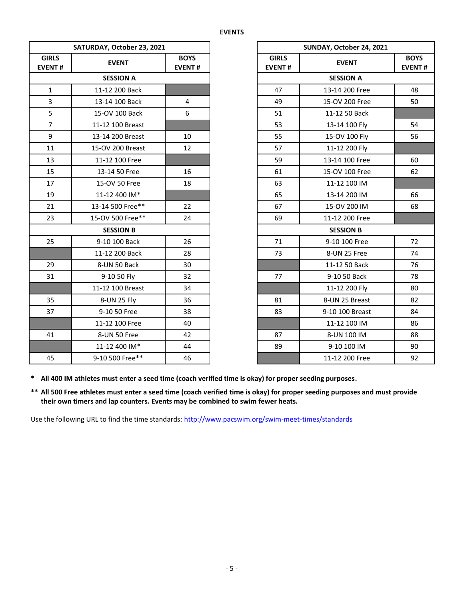|                               | SATURDAY, October 23, 2021 |                |                               | SUNDAY, October 24, 2021 |                           |  |
|-------------------------------|----------------------------|----------------|-------------------------------|--------------------------|---------------------------|--|
| <b>GIRLS</b><br><b>EVENT#</b> | <b>EVENT</b>               |                | <b>GIRLS</b><br><b>EVENT#</b> | <b>EVENT</b>             | <b>BOY</b><br><b>EVEN</b> |  |
|                               | <b>SESSION A</b>           |                |                               | <b>SESSION A</b>         |                           |  |
| $\mathbf{1}$                  | 11-12 200 Back             |                | 47                            | 13-14 200 Free           | 48                        |  |
| $\overline{3}$                | 13-14 100 Back             | $\overline{4}$ | 49                            | 15-OV 200 Free           | 50                        |  |
| 5                             | 15-OV 100 Back             | 6              | 51                            | 11-12 50 Back            |                           |  |
| $\overline{7}$                | 11-12 100 Breast           |                | 53                            | 13-14 100 Fly            | 54                        |  |
| 9                             | 13-14 200 Breast           | 10             | 55                            | 15-OV 100 Fly            | 56                        |  |
| 11                            | 15-OV 200 Breast           | 12             | 57                            | 11-12 200 Fly            |                           |  |
| 13                            | 11-12 100 Free             |                | 59                            | 13-14 100 Free           | 60                        |  |
| 15                            | 13-14 50 Free              | 16             | 61                            | 15-OV 100 Free           | 62                        |  |
| 17                            | 15-OV 50 Free              | 18             | 63                            | 11-12 100 IM             |                           |  |
| 19                            | 11-12 400 IM*              |                | 65                            | 13-14 200 IM             | 66                        |  |
| 21                            | 13-14 500 Free**           | 22             | 67                            | 15-OV 200 IM             | 68                        |  |
| 23                            | 15-OV 500 Free**           | 24             | 69                            | 11-12 200 Free           |                           |  |
|                               | <b>SESSION B</b>           |                |                               | <b>SESSION B</b>         |                           |  |
| 25                            | 9-10 100 Back              | 26             | 71                            | 9-10 100 Free            | 72                        |  |
|                               | 11-12 200 Back             | 28             | 73                            | 8-UN 25 Free             | 74                        |  |
| 29                            | 8-UN 50 Back               | 30             |                               | 11-12 50 Back            | 76                        |  |
| 31                            | 9-10 50 Fly                | 32             | 77                            | 9-10 50 Back             | 78                        |  |
|                               | 11-12 100 Breast           | 34             |                               | 11-12 200 Fly            | 80                        |  |
| 35                            | 8-UN 25 Fly                | 36             | 81                            | 8-UN 25 Breast           | 82                        |  |
| 37                            | 9-10 50 Free               | 38             | 83                            | 9-10 100 Breast          | 84                        |  |
|                               | 11-12 100 Free             | 40             |                               | 11-12 100 IM             | 86                        |  |
| 41                            | 8-UN 50 Free               | 42             | 87                            | 8-UN 100 IM              | 88                        |  |
|                               | 11-12 400 IM*              | 44             | 89                            | 9-10 100 IM              | 90                        |  |
| 45                            | 9-10 500 Free**            | 46             |                               | 11-12 200 Free           | 92                        |  |

| <b>RDAY, October 23, 2021</b> | SUNDAY, October 24, 2021     |                               |                              |    |  |
|-------------------------------|------------------------------|-------------------------------|------------------------------|----|--|
| <b>EVENT</b>                  | <b>BOYS</b><br><b>EVENT#</b> | <b>GIRLS</b><br><b>EVENT#</b> | <b>BOYS</b><br><b>EVENT#</b> |    |  |
| <b>SESSION A</b>              |                              |                               | <b>SESSION A</b>             |    |  |
| 11-12 200 Back                |                              | 47                            | 13-14 200 Free               | 48 |  |
| 13-14 100 Back                | 4                            | 49                            | 15-OV 200 Free               | 50 |  |
| 15-OV 100 Back                | 6                            | 51                            | 11-12 50 Back                |    |  |
| 11-12 100 Breast              |                              | 53                            | 13-14 100 Fly                | 54 |  |
| 13-14 200 Breast              | 10                           | 55                            | 15-OV 100 Fly                | 56 |  |
| 15-OV 200 Breast              | 12                           | 57                            | 11-12 200 Fly                |    |  |
| 11-12 100 Free                |                              | 59                            | 13-14 100 Free               | 60 |  |
| 13-14 50 Free                 | 16                           | 61                            | 15-OV 100 Free               | 62 |  |
| 15-OV 50 Free                 | 18                           | 63                            | 11-12 100 IM                 |    |  |
| 11-12 400 IM*                 |                              | 65                            | 13-14 200 IM                 | 66 |  |
| 13-14 500 Free**              | 22                           | 67                            | 15-OV 200 IM                 | 68 |  |
| 15-OV 500 Free**              | 24                           | 69                            | 11-12 200 Free               |    |  |
| <b>SESSION B</b>              |                              |                               | <b>SESSION B</b>             |    |  |
| 9-10 100 Back                 | 26                           | 71                            | 9-10 100 Free                | 72 |  |
| 11-12 200 Back                | 28                           | 73                            | 8-UN 25 Free                 | 74 |  |
| 8-UN 50 Back                  | 30                           |                               | 11-12 50 Back                | 76 |  |
| 9-10 50 Fly                   | 32                           | 77                            | 9-10 50 Back                 | 78 |  |
| 11-12 100 Breast              | 34                           |                               | 11-12 200 Fly                | 80 |  |
| 8-UN 25 Fly                   | 36                           | 81                            | 8-UN 25 Breast               | 82 |  |
| 9-10 50 Free                  | 38                           | 83                            | 9-10 100 Breast              | 84 |  |
| 11-12 100 Free                | 40                           |                               | 11-12 100 IM                 | 86 |  |
| 8-UN 50 Free                  | 42                           | 87                            | 8-UN 100 IM                  | 88 |  |
| 11-12 400 IM*                 | 44                           | 89                            | 9-10 100 IM                  | 90 |  |
| 9-10 500 Free**               | 46                           |                               | 11-12 200 Free               | 92 |  |

**\* All 400 IM athletes must enter a seed time (coach verified time is okay) for proper seeding purposes.**

**\*\* All 500 Free athletes must enter a seed time (coach verified time is okay) for proper seeding purposes and must provide their own timers and lap counters. Events may be combined to swim fewer heats.**

Use the following URL to find the time standards: <http://www.pacswim.org/swim-meet-times/standards>